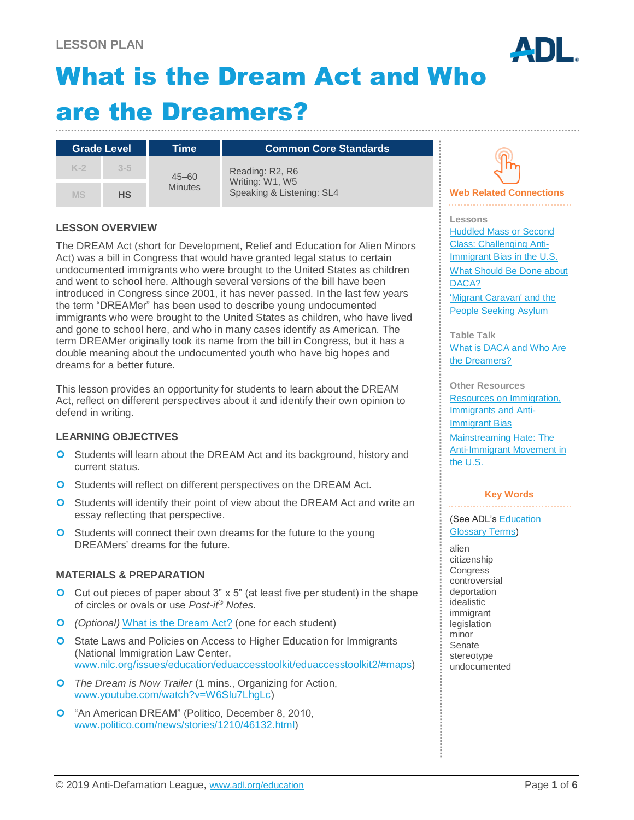# What is the Dream Act and Who are the Dreamers?

| <b>Grade Level</b> |           | Time                        | <b>Common Core Standards</b>                                    |
|--------------------|-----------|-----------------------------|-----------------------------------------------------------------|
| $K-2$              | $3 - 5$   | $45 - 60$<br><b>Minutes</b> | Reading: R2, R6<br>Writing: W1, W5<br>Speaking & Listening: SL4 |
| <b>MS</b>          | <b>HS</b> |                             |                                                                 |

#### **LESSON OVERVIEW**

The DREAM Act (short for Development, Relief and Education for Alien Minors Act) was a bill in Congress that would have granted legal status to certain undocumented immigrants who were brought to the United States as children and went to school here. Although several versions of the bill have been introduced in Congress since 2001, it has never passed. In the last few years the term "DREAMer" has been used to describe young undocumented immigrants who were brought to the United States as children, who have lived and gone to school here, and who in many cases identify as American. The term DREAMer originally took its name from the bill in Congress, but it has a double meaning about the undocumented youth who have big hopes and dreams for a better future.

This lesson provides an opportunity for students to learn about the DREAM Act, reflect on different perspectives about it and identify their own opinion to defend in writing.

#### **LEARNING OBJECTIVES**

- **O** Students will learn about the DREAM Act and its background, history and current status.
- **O** Students will reflect on different perspectives on the DREAM Act.
- **O** Students will identify their point of view about the DREAM Act and write an essay reflecting that perspective.
- **O** Students will connect their own dreams for the future to the young DREAMers' dreams for the future.

#### **MATERIALS & PREPARATION**

- $\bullet$  Cut out pieces of paper about 3" x 5" (at least five per student) in the shape of circles or ovals or use *Post-it® Notes*.
- *(Optional)* [What is the Dream Act?](#page-5-0) (one for each student)
- **O** State Laws and Policies on Access to Higher Education for Immigrants (National Immigration Law Center, [www.nilc.org/issues/education/eduaccesstoolkit/eduaccesstoolkit2/#maps\)](http://www.nilc.org/issues/education/eduaccesstoolkit/eduaccesstoolkit2/#maps)
- *The Dream is Now Trailer* (1 mins., Organizing for Action, [www.youtube.com/watch?v=W6SIu7LhgLc\)](http://www.youtube.com/watch?v=W6SIu7LhgLc)
- **O** "An American DREAM" (Politico, December 8, 2010, [www.politico.com/news/stories/1210/46132.html\)](http://www.politico.com/news/stories/1210/46132.html)

#### **Web Related Connections**

**Lessons** [Huddled Mass or Second](https://www.adl.org/education/educator-resources/lesson-plans/huddled-mass-or-second-class-challenging-anti-immigrant)  [Class: Challenging Anti-](https://www.adl.org/education/educator-resources/lesson-plans/huddled-mass-or-second-class-challenging-anti-immigrant)[Immigrant Bias in the U.S.](https://www.adl.org/education/educator-resources/lesson-plans/huddled-mass-or-second-class-challenging-anti-immigrant) [What Should Be Done about](https://www.adl.org/education/educator-resources/lesson-plans/what-should-be-done-about-daca)  [DACA?](https://www.adl.org/education/educator-resources/lesson-plans/what-should-be-done-about-daca)

['Migrant Caravan' and the](https://www.adl.org/education/educator-resources/lesson-plans/migrant-caravan-and-the-people-seeking-asylum)  [People Seeking Asylum](https://www.adl.org/education/educator-resources/lesson-plans/migrant-caravan-and-the-people-seeking-asylum)

**Table Talk** [What is DACA and Who Are](https://www.adl.org/education/resources/tools-and-strategies/table-talk/what-is-daca-and-who-are-the-dreamers)  [the Dreamers?](https://www.adl.org/education/resources/tools-and-strategies/table-talk/what-is-daca-and-who-are-the-dreamers)

**Other Resources** [Resources on Immigration,](https://www.adl.org/education/resources/tools-and-strategies/education-resources-on-immigration-immigrants-and-anti)  [Immigrants and Anti-](https://www.adl.org/education/resources/tools-and-strategies/education-resources-on-immigration-immigrants-and-anti)[Immigrant Bias](https://www.adl.org/education/resources/tools-and-strategies/education-resources-on-immigration-immigrants-and-anti) [Mainstreaming Hate: The](https://www.adl.org/the-anti-immigrant-movement-in-the-us)  [Anti-Immigrant Movement in](https://www.adl.org/the-anti-immigrant-movement-in-the-us)  [the U.S.](https://www.adl.org/the-anti-immigrant-movement-in-the-us)

#### **Key Words**

(See ADL's [Education](https://www.adl.org/education/resources/glossary-terms/education-glossary-terms)  [Glossary Terms\)](https://www.adl.org/education/resources/glossary-terms/education-glossary-terms)

alien citizenship **Congress** controversial deportation idealistic immigrant legislation minor Senate stereotype undocumented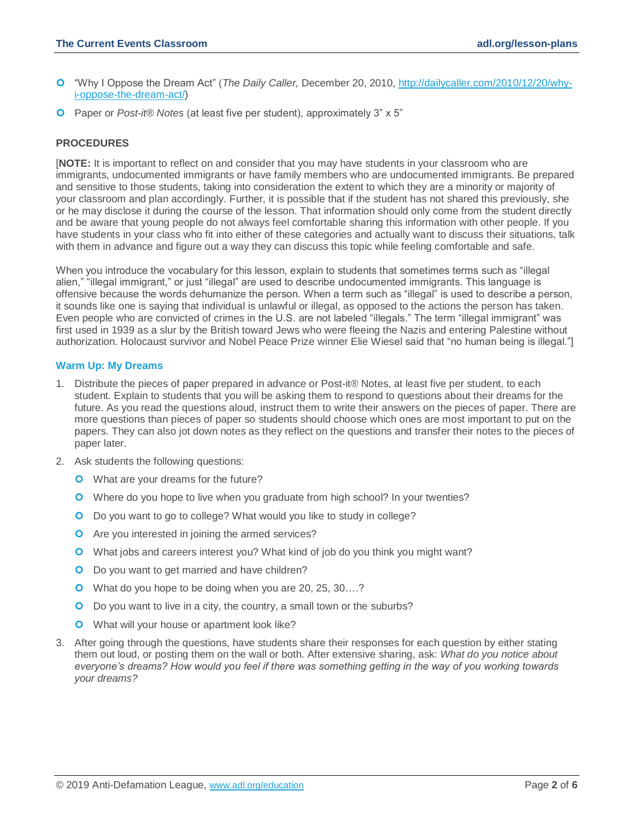- "Why I Oppose the Dream Act" (*The Daily Caller,* December 20, 2010, [http://dailycaller.com/2010/12/20/why](http://dailycaller.com/2010/12/20/why-i-oppose-the-dream-act/)[i-oppose-the-dream-act/\)](http://dailycaller.com/2010/12/20/why-i-oppose-the-dream-act/)
- Paper or *Post-it® Notes* (at least five per student), approximately 3" x 5"

#### **PROCEDURES**

[**NOTE:** It is important to reflect on and consider that you may have students in your classroom who are immigrants, undocumented immigrants or have family members who are undocumented immigrants. Be prepared and sensitive to those students, taking into consideration the extent to which they are a minority or majority of your classroom and plan accordingly. Further, it is possible that if the student has not shared this previously, she or he may disclose it during the course of the lesson. That information should only come from the student directly and be aware that young people do not always feel comfortable sharing this information with other people. If you have students in your class who fit into either of these categories and actually want to discuss their situations, talk with them in advance and figure out a way they can discuss this topic while feeling comfortable and safe.

When you introduce the vocabulary for this lesson, explain to students that sometimes terms such as "illegal" alien," "illegal immigrant," or just "illegal" are used to describe undocumented immigrants. This language is offensive because the words dehumanize the person. When a term such as "illegal" is used to describe a person, it sounds like one is saying that individual is unlawful or illegal, as opposed to the actions the person has taken. Even people who are convicted of crimes in the U.S. are not labeled "illegals." The term "illegal immigrant" was first used in 1939 as a slur by the British toward Jews who were fleeing the Nazis and entering Palestine without authorization. Holocaust survivor and Nobel Peace Prize winner Elie Wiesel said that "no human being is illegal."]

#### **Warm Up: My Dreams**

- 1. Distribute the pieces of paper prepared in advance or Post-it® Notes, at least five per student, to each student. Explain to students that you will be asking them to respond to questions about their dreams for the future. As you read the questions aloud, instruct them to write their answers on the pieces of paper. There are more questions than pieces of paper so students should choose which ones are most important to put on the papers. They can also jot down notes as they reflect on the questions and transfer their notes to the pieces of paper later.
- 2. Ask students the following questions:
	- **O** What are your dreams for the future?
	- **O** Where do you hope to live when you graduate from high school? In your twenties?
	- O Do you want to go to college? What would you like to study in college?
	- **O** Are you interested in joining the armed services?
	- What jobs and careers interest you? What kind of job do you think you might want?
	- **O** Do you want to get married and have children?
	- O What do you hope to be doing when you are 20, 25, 30....?
	- O Do you want to live in a city, the country, a small town or the suburbs?
	- **O** What will your house or apartment look like?
- 3. After going through the questions, have students share their responses for each question by either stating them out loud, or posting them on the wall or both. After extensive sharing, ask: *What do you notice about everyone's dreams? How would you feel if there was something getting in the way of you working towards your dreams?*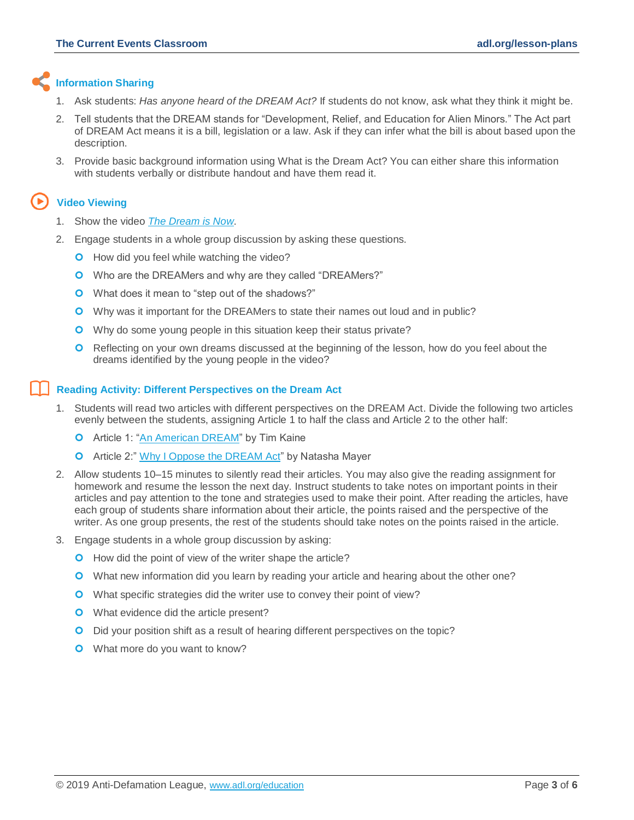#### **Information Sharing**

- 1. Ask students: *Has anyone heard of the DREAM Act?* If students do not know, ask what they think it might be.
- 2. Tell students that the DREAM stands for "Development, Relief, and Education for Alien Minors." The Act part of DREAM Act means it is a bill, legislation or a law. Ask if they can infer what the bill is about based upon the description.
- 3. Provide basic background information using What is the Dream Act? You can either share this information with students verbally or distribute handout and have them read it.

### **Video Viewing**

- 1. Show the video *[The Dream is Now](https://www.youtube.com/watch?v=W6SIu7LhgLc)*.
- 2. Engage students in a whole group discussion by asking these questions.
	- **O** How did you feel while watching the video?
	- Who are the DREAMers and why are they called "DREAMers?"
	- **O** What does it mean to "step out of the shadows?"
	- Why was it important for the DREAMers to state their names out loud and in public?
	- **O** Why do some young people in this situation keep their status private?
	- **O** Reflecting on your own dreams discussed at the beginning of the lesson, how do you feel about the dreams identified by the young people in the video?

#### **Reading Activity: Different Perspectives on the Dream Act**

- 1. Students will read two articles with different perspectives on the DREAM Act. Divide the following two articles evenly between the students, assigning Article 1 to half the class and Article 2 to the other half:
	- **O** Article 1: ["An American DREAM"](http://www.politico.com/news/stories/1210/46132.html) by Tim Kaine
	- **O** Article 2:" [Why I Oppose the DREAM Act"](http://dailycaller.com/2010/12/20/why-i-oppose-the-dream-act/) by Natasha Mayer
- 2. Allow students 10–15 minutes to silently read their articles. You may also give the reading assignment for homework and resume the lesson the next day. Instruct students to take notes on important points in their articles and pay attention to the tone and strategies used to make their point. After reading the articles, have each group of students share information about their article, the points raised and the perspective of the writer. As one group presents, the rest of the students should take notes on the points raised in the article.
- 3. Engage students in a whole group discussion by asking:
	- **O** How did the point of view of the writer shape the article?
	- What new information did you learn by reading your article and hearing about the other one?
	- What specific strategies did the writer use to convey their point of view?
	- **O** What evidence did the article present?
	- O Did your position shift as a result of hearing different perspectives on the topic?
	- **O** What more do you want to know?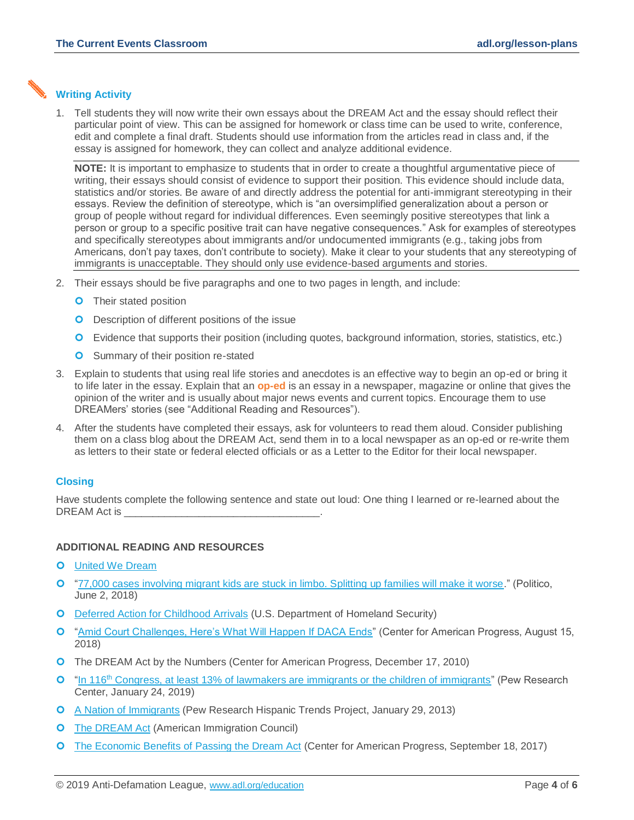#### **Writing Activity**

1. Tell students they will now write their own essays about the DREAM Act and the essay should reflect their particular point of view. This can be assigned for homework or class time can be used to write, conference, edit and complete a final draft. Students should use information from the articles read in class and, if the essay is assigned for homework, they can collect and analyze additional evidence.

**NOTE:** It is important to emphasize to students that in order to create a thoughtful argumentative piece of writing, their essays should consist of evidence to support their position. This evidence should include data, statistics and/or stories. Be aware of and directly address the potential for anti-immigrant stereotyping in their essays. Review the definition of stereotype, which is "an oversimplified generalization about a person or group of people without regard for individual differences. Even seemingly positive stereotypes that link a person or group to a specific positive trait can have negative consequences." Ask for examples of stereotypes and specifically stereotypes about immigrants and/or undocumented immigrants (e.g., taking jobs from Americans, don't pay taxes, don't contribute to society). Make it clear to your students that any stereotyping of immigrants is unacceptable. They should only use evidence-based arguments and stories.

- 2. Their essays should be five paragraphs and one to two pages in length, and include:
	- **O** Their stated position
	- **O** Description of different positions of the issue
	- Evidence that supports their position (including quotes, background information, stories, statistics, etc.)
	- **O** Summary of their position re-stated
- 3. Explain to students that using real life stories and anecdotes is an effective way to begin an op-ed or bring it to life later in the essay. Explain that an **op-ed** is an essay in a newspaper, magazine or online that gives the opinion of the writer and is usually about major news events and current topics. Encourage them to use DREAMers' stories (see "Additional Reading and Resources").
- 4. After the students have completed their essays, ask for volunteers to read them aloud. Consider publishing them on a class blog about the DREAM Act, send them in to a local newspaper as an op-ed or re-write them as letters to their state or federal elected officials or as a Letter to the Editor for their local newspaper.

#### **Closing**

Have students complete the following sentence and state out loud: One thing I learned or re-learned about the DREAM Act is

#### **ADDITIONAL READING AND RESOURCES**

- **O** [United We Dream](http://unitedwedream.org/)
- ["77,000 cases involving migrant kids are stuck in limbo. Splitting up families will make it worse.](https://www.politico.com/interactives/2018/immigration-zero-tolerance-children-families-limbo/)" (Politico, June 2, 2018)
- O [Deferred Action for Childhood Arrivals](https://www.uscis.gov/humanitarian/deferred-action-childhood-arrivals-response-january-2018-preliminary-injunction) (U.S. Department of Homeland Security)
- <sup>o</sup> ["Amid Court Challenges, Here's What Will Happen If DACA Ends"](https://www.americanprogress.org/issues/immigration/news/2018/08/15/454798/amid-court-challenges-heres-will-happen-daca-ends/) (Center for American Progress, August 15, 2018)
- [The DREAM Act by the Numbers](http://www.americanprogress.org/issues/immigration/news/2010/12/17/8845/the-dream-act-by-the-numbers/) (Center for American Progress, December 17, 2010)
- $\Omega$  "In 116<sup>th</sup> [Congress, at least 13% of lawmakers are immigrants or the children of immigrants"](http://www.pewresearch.org/fact-tank/2019/01/24/in-116th-congress-at-least-13-of-lawmakers-are-immigrants-or-the-children-of-immigrants/) (Pew Research Center, January 24, 2019)
- [A Nation of Immigrants](http://www.pewhispanic.org/2013/01/29/a-nation-of-immigrants/) (Pew Research Hispanic Trends Project, January 29, 2013)
- **O** [The DREAM Act](http://www.immigrationpolicy.org/just-facts/dream-act#fail) (American Immigration Council)
- **O** [The Economic Benefits of Passing the Dream Act](https://www.americanprogress.org/issues/immigration/reports/2017/09/18/439134/economic-benefits-passing-dream-act/) (Center for American Progress, September 18, 2017)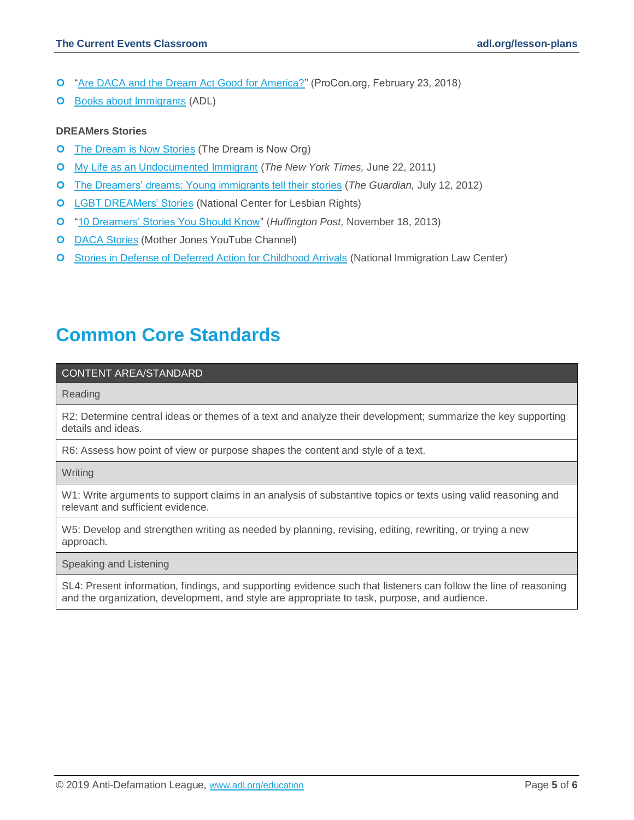- ["Are DACA and the Dream Act Good for America?"](https://www.procon.org/headline.php?headlineID=005384) (ProCon.org, February 23, 2018)
- **O** [Books about Immigrants](https://www.adl.org/education-and-resources/resources-for-educators-parents-families/childrens-literature?tid%5b207%5d=207) (ADL)

#### **DREAMers Stories**

- **O** [The Dream is Now Stories](http://www.thedreamisnow.org/stories) (The Dream is Now Org)
- [My Life as an Undocumented Immigrant](http://www.nytimes.com/2011/06/26/magazine/my-life-as-an-undocumented-immigrant.html?pagewanted=all&_r=0) (*The New York Times,* June 22, 2011)
- [The Dreamers' dreams: Young immigrants tell their stories](http://www.theguardian.com/world/interactive/2012/jul/12/dreamers-dreams-young-immigrants-interactive) (*The Guardian,* July 12, 2012)
- **O** [LGBT DREAMers' Stories](http://lgbtdreamersstories.com/) (National Center for Lesbian Rights)
- ["10 Dreamers' Stories You Should Know"](http://www.huffingtonpost.com/2013/11/18/dreamers-stories_n_4296012.html) (*Huffington Post,* November 18, 2013)
- **O** [DACA Stories](https://www.youtube.com/watch?v=M2U-qzxBgCo&list=PL7FWr6whNWmixOpDPUupxVLFiYB3tTgev) (Mother Jones YouTube Channel)
- **O** [Stories in Defense of Deferred Action for Childhood Arrivals](https://www.nilc.org/issues/daca/daca-fifth-anniversary-stories/) (National Immigration Law Center)

## **Common Core Standards**

#### CONTENT AREA/STANDARD

Reading

R2: Determine central ideas or themes of a text and analyze their development; summarize the key supporting details and ideas.

R6: Assess how point of view or purpose shapes the content and style of a text.

**Writing** 

W1: Write arguments to support claims in an analysis of substantive topics or texts using valid reasoning and relevant and sufficient evidence.

W5: Develop and strengthen writing as needed by planning, revising, editing, rewriting, or trying a new approach.

Speaking and Listening

SL4: Present information, findings, and supporting evidence such that listeners can follow the line of reasoning and the organization, development, and style are appropriate to task, purpose, and audience.